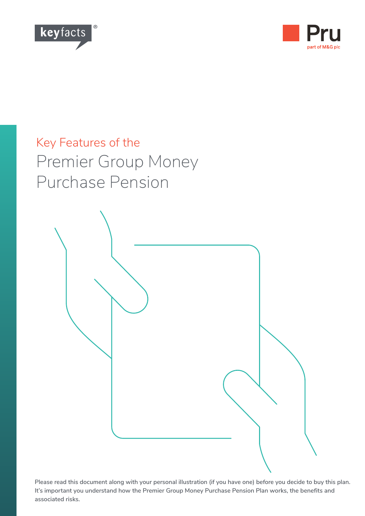



# Key Features of the Premier Group Money Purchase Pension



**Please read this document along with your personal illustration (if you have one) before you decide to buy this plan. It's important you understand how the Premier Group Money Purchase Pension Plan works, the benefits and associated risks.**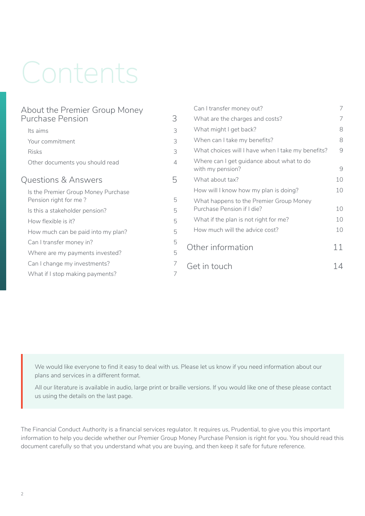# Contents

| About the Premier Group Money       |                | Can I transfer money out?                                             | 7              |
|-------------------------------------|----------------|-----------------------------------------------------------------------|----------------|
| <b>Purchase Pension</b>             | 3              | What are the charges and costs?                                       | 7              |
| Its aims                            | 3              | What might I get back?                                                | 8              |
| Your commitment                     | 3              | When can I take my benefits?                                          | 8              |
| <b>Risks</b>                        | 3              | What choices will I have when I take my benefits?                     | $\overline{9}$ |
| Other documents you should read     | $\overline{4}$ | Where can I get guidance about what to do<br>with my pension?         | 9              |
| <b>Questions &amp; Answers</b>      | 5              | What about tax?                                                       | 10             |
| Is the Premier Group Money Purchase |                | How will I know how my plan is doing?                                 | 10             |
| Pension right for me?               | 5              | What happens to the Premier Group Money<br>Purchase Pension if I die? |                |
| Is this a stakeholder pension?      | 5              |                                                                       | 10             |
| How flexible is it?                 | 5              | What if the plan is not right for me?                                 | 10             |
| How much can be paid into my plan?  | 5              | How much will the advice cost?                                        | 10             |
| Can I transfer money in?            | 5              | Other information                                                     | 11             |
| Where are my payments invested?     | 5              |                                                                       |                |
| Can I change my investments?        |                | Get in touch                                                          | 14             |
| What if I stop making payments?     | 7              |                                                                       |                |
|                                     |                |                                                                       |                |

We would like everyone to find it easy to deal with us. Please let us know if you need information about our plans and services in a different format.

All our literature is available in audio, large print or braille versions. If you would like one of these please contact us using the details on the last page.

The Financial Conduct Authority is a financial services regulator. It requires us, Prudential, to give you this important information to help you decide whether our Premier Group Money Purchase Pension is right for you. You should read this document carefully so that you understand what you are buying, and then keep it safe for future reference.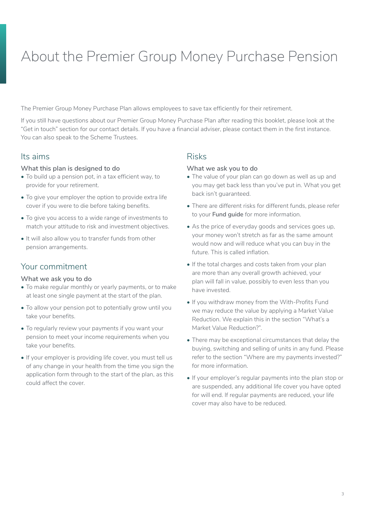# About the Premier Group Money Purchase Pension

The Premier Group Money Purchase Plan allows employees to save tax efficiently for their retirement.

If you still have questions about our Premier Group Money Purchase Plan after reading this booklet, please look at the "Get in touch" section for our contact details. If you have a financial adviser, please contact them in the first instance. You can also speak to the Scheme Trustees.

### Its aims

#### **What this plan is designed to do**

- To build up a pension pot, in a tax efficient way, to provide for your retirement.
- To give your employer the option to provide extra life cover if you were to die before taking benefits.
- To give you access to a wide range of investments to match your attitude to risk and investment objectives.
- It will also allow you to transfer funds from other pension arrangements.

# Your commitment

#### **What we ask you to do**

- To make regular monthly or yearly payments, or to make at least one single payment at the start of the plan.
- To allow your pension pot to potentially grow until you take your benefits.
- To regularly review your payments if you want your pension to meet your income requirements when you take your benefits.
- If your employer is providing life cover, you must tell us of any change in your health from the time you sign the application form through to the start of the plan, as this could affect the cover.

### Risks

#### **What we ask you to do**

- The value of your plan can go down as well as up and you may get back less than you've put in. What you get back isn't guaranteed.
- There are different risks for different funds, please refer to your **Fund guide** for more information.
- As the price of everyday goods and services goes up, your money won't stretch as far as the same amount would now and will reduce what you can buy in the future. This is called inflation.
- If the total charges and costs taken from your plan are more than any overall growth achieved, your plan will fall in value, possibly to even less than you have invested.
- If you withdraw money from the With-Profits Fund we may reduce the value by applying a Market Value Reduction. We explain this in the section "What's a Market Value Reduction?".
- There may be exceptional circumstances that delay the buying, switching and selling of units in any fund. Please refer to the section "Where are my payments invested?" for more information.
- If your employer's regular payments into the plan stop or are suspended, any additional life cover you have opted for will end. If regular payments are reduced, your life cover may also have to be reduced.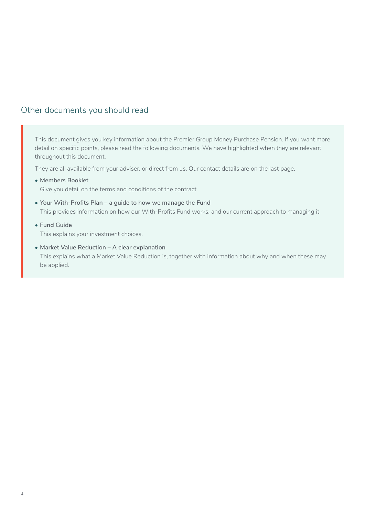# Other documents you should read

This document gives you key information about the Premier Group Money Purchase Pension. If you want more detail on specific points, please read the following documents. We have highlighted when they are relevant throughout this document.

They are all available from your adviser, or direct from us. Our contact details are on the last page.

**• Members Booklet**

Give you detail on the terms and conditions of the contract

- **• Your With-Profits Plan a guide to how we manage the Fund** This provides information on how our With-Profits Fund works, and our current approach to managing it
- **• Fund Guide**

This explains your investment choices.

**• Market Value Reduction – A clear explanation** This explains what a Market Value Reduction is, together with information about why and when these may be applied.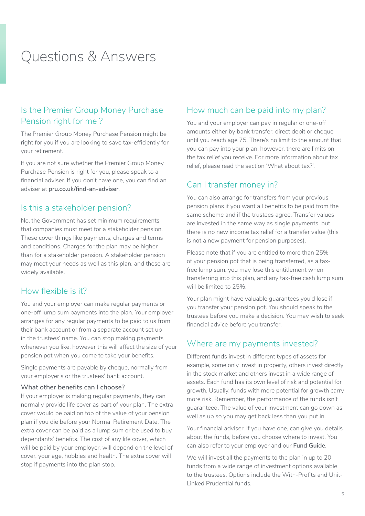# Questions & Answers

# Is the Premier Group Money Purchase Pension right for me ?

The Premier Group Money Purchase Pension might be right for you if you are looking to save tax-efficiently for your retirement.

If you are not sure whether the Premier Group Money Purchase Pension is right for you, please speak to a financial adviser. If you don't have one, you can find an adviser at **[pru.co.uk/find-an-adviser](https://www.pru.co.uk/find-an-adviser/)**.

#### Is this a stakeholder pension?

No, the Government has set minimum requirements that companies must meet for a stakeholder pension. These cover things like payments, charges and terms and conditions. Charges for the plan may be higher than for a stakeholder pension. A stakeholder pension may meet your needs as well as this plan, and these are widely available.

#### How flexible is it?

You and your employer can make regular payments or one-off lump sum payments into the plan. Your employer arranges for any regular payments to be paid to us from their bank account or from a separate account set up in the trustees' name. You can stop making payments whenever you like, however this will affect the size of your pension pot when you come to take your benefits.

Single payments are payable by cheque, normally from your employer's or the trustees' bank account.

#### **What other benefits can I choose?**

If your employer is making regular payments, they can normally provide life cover as part of your plan. The extra cover would be paid on top of the value of your pension plan if you die before your Normal Retirement Date. The extra cover can be paid as a lump sum or be used to buy dependants' benefits. The cost of any life cover, which will be paid by your employer, will depend on the level of cover, your age, hobbies and health. The extra cover will stop if payments into the plan stop.

### How much can be paid into my plan?

You and your employer can pay in regular or one-off amounts either by bank transfer, direct debit or cheque until you reach age 75. There's no limit to the amount that you can pay into your plan, however, there are limits on the tax relief you receive. For more information about tax relief, please read the section 'What about tax?'.

#### Can I transfer money in?

You can also arrange for transfers from your previous pension plans if you want all benefits to be paid from the same scheme and if the trustees agree. Transfer values are invested in the same way as single payments, but there is no new income tax relief for a transfer value (this is not a new payment for pension purposes).

Please note that if you are entitled to more than 25% of your pension pot that is being transferred, as a taxfree lump sum, you may lose this entitlement when transferring into this plan, and any tax-free cash lump sum will be limited to 25%.

Your plan might have valuable guarantees you'd lose if you transfer your pension pot. You should speak to the trustees before you make a decision. You may wish to seek financial advice before you transfer.

#### Where are my payments invested?

Different funds invest in different types of assets for example, some only invest in property, others invest directly in the stock market and others invest in a wide range of assets. Each fund has its own level of risk and potential for growth. Usually, funds with more potential for growth carry more risk. Remember, the performance of the funds isn't guaranteed. The value of your investment can go down as well as up so you may get back less than you put in.

Your financial adviser, if you have one, can give you details about the funds, before you choose where to invest. You can also refer to your employer and our **Fund Guide**.

We will invest all the payments to the plan in up to 20 funds from a wide range of investment options available to the trustees. Options include the With-Profits and Unit-Linked Prudential funds.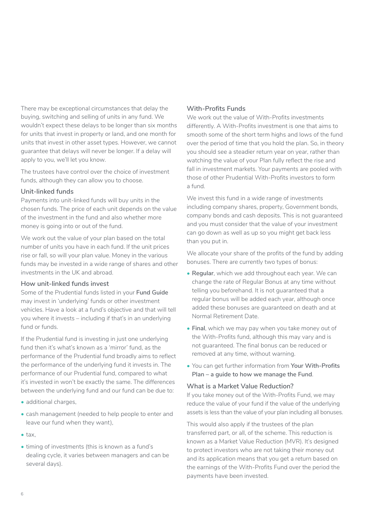There may be exceptional circumstances that delay the buying, switching and selling of units in any fund. We wouldn't expect these delays to be longer than six months for units that invest in property or land, and one month for units that invest in other asset types. However, we cannot guarantee that delays will never be longer. If a delay will apply to you, we'll let you know.

The trustees have control over the choice of investment funds, although they can allow you to choose.

#### **Unit-linked funds**

Payments into unit-linked funds will buy units in the chosen funds. The price of each unit depends on the value of the investment in the fund and also whether more money is going into or out of the fund.

We work out the value of your plan based on the total number of units you have in each fund. If the unit prices rise or fall, so will your plan value. Money in the various funds may be invested in a wide range of shares and other investments in the UK and abroad.

#### **How unit-linked funds invest**

Some of the Prudential funds listed in your **Fund Guide** may invest in 'underlying' funds or other investment vehicles. Have a look at a fund's objective and that will tell you where it invests – including if that's in an underlying fund or funds.

If the Prudential fund is investing in just one underlying fund then it's what's known as a 'mirror' fund, as the performance of the Prudential fund broadly aims to reflect the performance of the underlying fund it invests in. The performance of our Prudential fund, compared to what it's invested in won't be exactly the same. The differences between the underlying fund and our fund can be due to:

- additional charges,
- cash management (needed to help people to enter and leave our fund when they want),
- tax,
- timing of investments (this is known as a fund's dealing cycle, it varies between managers and can be several days).

#### **With-Profits Funds**

We work out the value of With-Profits investments differently. A With-Profits investment is one that aims to smooth some of the short term highs and lows of the fund over the period of time that you hold the plan. So, in theory you should see a steadier return year on year, rather than watching the value of your Plan fully reflect the rise and fall in investment markets. Your payments are pooled with those of other Prudential With-Profits investors to form a fund.

We invest this fund in a wide range of investments including company shares, property, Government bonds, company bonds and cash deposits. This is not guaranteed and you must consider that the value of your investment can go down as well as up so you might get back less than you put in.

We allocate your share of the profits of the fund by adding bonuses. There are currently two types of bonus:

- **Regular**, which we add throughout each year. We can change the rate of Regular Bonus at any time without telling you beforehand. It is not guaranteed that a regular bonus will be added each year, although once added these bonuses are guaranteed on death and at Normal Retirement Date.
- **Final**, which we may pay when you take money out of the With-Profits fund, although this may vary and is not guaranteed. The final bonus can be reduced or removed at any time, without warning.
- You can get further information from **Your With-Profits Plan – a guide to how we manage the Fund**.

#### **What is a Market Value Reduction?**

If you take money out of the With-Profits Fund, we may reduce the value of your fund if the value of the underlying assets is less than the value of your plan including all bonuses.

This would also apply if the trustees of the plan transferred part, or all, of the scheme. This reduction is known as a Market Value Reduction (MVR). It's designed to protect investors who are not taking their money out and its application means that you get a return based on the earnings of the With-Profits Fund over the period the payments have been invested.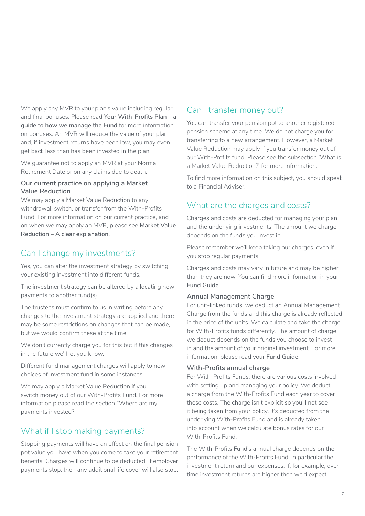We apply any MVR to your plan's value including regular and final bonuses. Please read **Your With-Profits Plan – a guide to how we manage the Fund** for more information on bonuses. An MVR will reduce the value of your plan and, if investment returns have been low, you may even get back less than has been invested in the plan.

We guarantee not to apply an MVR at your Normal Retirement Date or on any claims due to death.

#### **Our current practice on applying a Market Value Reduction**

We may apply a Market Value Reduction to any withdrawal, switch, or transfer from the With-Profits Fund. For more information on our current practice, and on when we may apply an MVR, please see **Market Value Reduction – A clear explanation**.

# Can I change my investments?

Yes, you can alter the investment strategy by switching your existing investment into different funds.

The investment strategy can be altered by allocating new payments to another fund(s).

The trustees must confirm to us in writing before any changes to the investment strategy are applied and there may be some restrictions on changes that can be made, but we would confirm these at the time.

We don't currently charge you for this but if this changes in the future we'll let you know.

Different fund management charges will apply to new choices of investment fund in some instances.

We may apply a Market Value Reduction if you switch money out of our With-Profits Fund. For more information please read the section "Where are my payments invested?".

# What if I stop making payments?

Stopping payments will have an effect on the final pension pot value you have when you come to take your retirement benefits. Charges will continue to be deducted. If employer payments stop, then any additional life cover will also stop.

# Can I transfer money out?

You can transfer your pension pot to another registered pension scheme at any time. We do not charge you for transferring to a new arrangement. However, a Market Value Reduction may apply if you transfer money out of our With-Profits fund. Please see the subsection 'What is a Market Value Reduction?' for more information.

To find more information on this subject, you should speak to a Financial Adviser.

# What are the charges and costs?

Charges and costs are deducted for managing your plan and the underlying investments. The amount we charge depends on the funds you invest in.

Please remember we'll keep taking our charges, even if you stop regular payments.

Charges and costs may vary in future and may be higher than they are now. You can find more information in your **Fund Guide**.

#### **Annual Management Charge**

For unit-linked funds, we deduct an Annual Management Charge from the funds and this charge is already reflected in the price of the units. We calculate and take the charge for With-Profits funds differently. The amount of charge we deduct depends on the funds you choose to invest in and the amount of your original investment. For more information, please read your **Fund Guide**.

#### **With-Profits annual charge**

For With-Profits Funds, there are various costs involved with setting up and managing your policy. We deduct a charge from the With-Profits Fund each year to cover these costs. The charge isn't explicit so you'll not see it being taken from your policy. It's deducted from the underlying With-Profits Fund and is already taken into account when we calculate bonus rates for our With-Profits Fund.

The With-Profits Fund's annual charge depends on the performance of the With-Profits Fund, in particular the investment return and our expenses. If, for example, over time investment returns are higher then we'd expect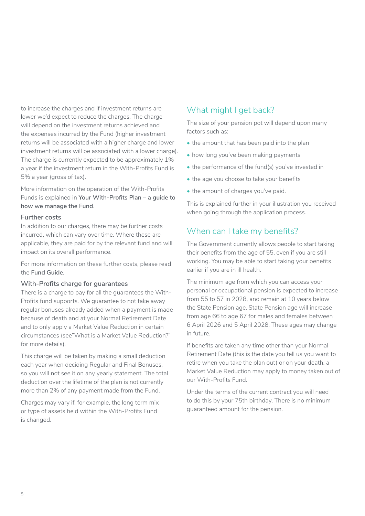to increase the charges and if investment returns are lower we'd expect to reduce the charges. The charge will depend on the investment returns achieved and the expenses incurred by the Fund (higher investment returns will be associated with a higher charge and lower investment returns will be associated with a lower charge). The charge is currently expected to be approximately 1% a year if the investment return in the With-Profits Fund is 5% a year (gross of tax).

More information on the operation of the With-Profits Funds is explained in **Your With-Profits Plan – a guide to how we manage the Fund**.

#### **Further costs**

In addition to our charges, there may be further costs incurred, which can vary over time. Where these are applicable, they are paid for by the relevant fund and will impact on its overall performance.

For more information on these further costs, please read the **Fund Guide**.

#### **With-Profits charge for guarantees**

There is a charge to pay for all the guarantees the With-Profits fund supports. We guarantee to not take away regular bonuses already added when a payment is made because of death and at your Normal Retirement Date and to only apply a Market Value Reduction in certain circumstances (see"What is a Market Value Reduction?" for more details).

This charge will be taken by making a small deduction each year when deciding Regular and Final Bonuses, so you will not see it on any yearly statement. The total deduction over the lifetime of the plan is not currently more than 2% of any payment made from the Fund.

Charges may vary if, for example, the long term mix or type of assets held within the With-Profits Fund is changed.

# What might I get back?

The size of your pension pot will depend upon many factors such as:

- the amount that has been paid into the plan
- how long you've been making payments
- the performance of the fund(s) you've invested in
- the age you choose to take your benefits
- the amount of charges you've paid.

This is explained further in your illustration you received when going through the application process.

# When can I take my benefits?

The Government currently allows people to start taking their benefits from the age of 55, even if you are still working. You may be able to start taking your benefits earlier if you are in ill health.

The minimum age from which you can access your personal or occupational pension is expected to increase from 55 to 57 in 2028, and remain at 10 years below the State Pension age. State Pension age will increase from age 66 to age 67 for males and females between 6 April 2026 and 5 April 2028. These ages may change in future.

If benefits are taken any time other than your Normal Retirement Date (this is the date you tell us you want to retire when you take the plan out) or on your death, a Market Value Reduction may apply to money taken out of our With-Profits Fund.

Under the terms of the current contract you will need to do this by your 75th birthday. There is no minimum guaranteed amount for the pension.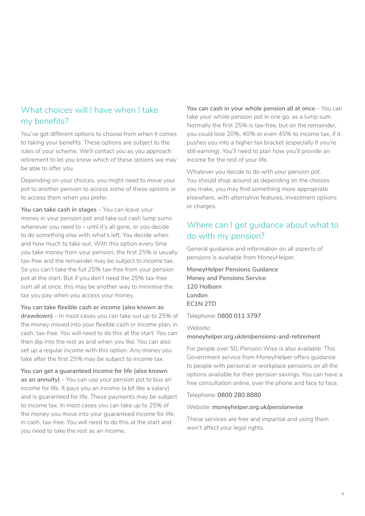# What choices will I have when I take my benefits?

You've got different options to choose from when it comes to taking your benefits. These options are subject to the rules of your scheme. We'll contact you as you approach retirement to let you know which of these options we may be able to offer you.

Depending on your choices, you might need to move your pot to another pension to access some of these options or to access them when you prefer.

**You can take cash in stages** – You can leave your money in your pension pot and take out cash lump sums whenever you need to – until it's all gone, or you decide to do something else with what's left. You decide when and how much to take out. With this option every time you take money from your pension, the first 25% is usually tax-free and the remainder may be subject to income tax. So you can't take the full 25% tax-free from your pension pot at the start. But if you don't need the 25% tax-free sum all at once, this may be another way to minimise the tax you pay when you access your money.

**You can take flexible cash or income (also known as drawdown)** – In most cases you can take out up to 25% of the money moved into your flexible cash or income plan, in cash, tax-free. You will need to do this at the start. You can then dip into the rest as and when you like. You can also set up a regular income with this option. Any money you take after the first 25% may be subject to income tax.

**You can get a guaranteed income for life (also known as an annuity)** – You can use your pension pot to buy an income for life. It pays you an income (a bit like a salary) and is guaranteed for life. These payments may be subject to income tax. In most cases you can take up to 25% of the money you move into your guaranteed income for life, in cash, tax-free. You will need to do this at the start and you need to take the rest as an income.

**You can cash in your whole pension all at once** – You can take your whole pension pot in one go, as a lump sum. Normally the first 25% is tax-free, but on the remainder, you could lose 20%, 40% or even 45% to income tax, if it pushes you into a higher tax bracket (especially if you're still earning). You'll need to plan how you'll provide an income for the rest of your life.

Whatever you decide to do with your pension pot. You should shop around as depending on the choices you make, you may find something more appropriate elsewhere, with alternative features, investment options or charges.

# Where can I get guidance about what to do with my pension?

General guidance and information on all aspects of pensions is available from MoneyHelper.

**MoneyHelper Pensions Guidance Money and Pensions Service 120 Holborn London EC1N 2TD**

Telephone: **0800 011 3797**

Website: **moneyhelper.org.uk/en/pensions-and-retirement**

For people over 50, Pension Wise is also available. This Government service from MoneyHelper offers guidance to people with personal or workplace pensions on all the options available for their pension savings. You can have a free consultation online, over the phone and face to face.

Telephone: **0800 280 8880**

#### Website: **moneyhelper.org.uk/pensionwise**

These services are free and impartial and using them won't affect your legal rights.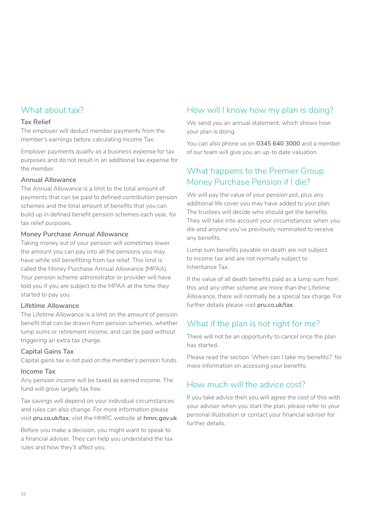# What about tax?

#### **Tax Relief**

The employer will deduct member payments from the member's earnings before calculating Income Tax.

Employer payments qualify as a business expense for tax purposes and do not result in an additional tax expense for the member.

#### **Annual Allowance**

The Annual Allowance is a limit to the total amount of payments that can be paid to defined contribution pension schemes and the total amount of benefits that you can build up in defined benefit pension schemes each year, for tax relief purposes.

#### **Money Purchase Annual Allowance**

Taking money out of your pension will sometimes lower the amount you can pay into all the pensions you may have while still benefitting from tax relief. This limit is called the Money Purchase Annual Allowance (MPAA). Your pension scheme administrator or provider will have told you if you are subject to the MPAA at the time they started to pay you.

#### **Lifetime Allowance**

The Lifetime Allowance is a limit on the amount of pension benefit that can be drawn from pension schemes, whether lump sums or retirement income, and can be paid without triggering an extra tax charge.

#### **Capital Gains Tax**

Capital gains tax is not paid on the member's pension funds.

#### **Income Tax**

Any pension income will be taxed as earned income. The fund will grow largely tax free.

Tax savings will depend on your individual circumstances and rules can also change. For more information please visit **[pru.co.uk/tax](https://www.pru.co.uk/pensions-retirement/help-guides-and-articles/tax-information/?utm_source=redirect&utm_medium=301&utm_campaign=/tax)**, visit the HMRC website at **[hmrc.gov.uk](https://www.gov.uk/government/organisations/hm-revenue-customs)**

Before you make a decision, you might want to speak to a financial adviser. They can help you understand the tax rules and how they'll affect you.

# How will I know how my plan is doing?

We send you an annual statement, which shows how your plan is doing.

You can also phone us on **0345 640 3000** and a member of our team will give you an up-to date valuation.

# What happens to the Premier Group Money Purchase Pension if I die?

We will pay the value of your pension pot, plus any additional life cover you may have added to your plan. The trustees will decide who should get the benefits. They will take into account your circumstances when you die and anyone you've previously nominated to receive any benefits.

Lump sum benefits payable on death are not subject to income tax and are not normally subject to Inheritance Tax.

If the value of all death benefits paid as a lump sum from this and any other scheme are more than the Lifetime Allowance, there will normally be a special tax charge. For further details please visit **[pru.co.uk/tax](http://www.pru.co.uk/tax)**.

# What if the plan is not right for me?

There will not be an opportunity to cancel once the plan has started.

Please read the section 'When can I take my benefits?' for more information on accessing your benefits.

# How much will the advice cost?

If you take advice then you will agree the cost of this with your adviser when you start the plan, please refer to your personal illustration or contact your financial adviser for further details.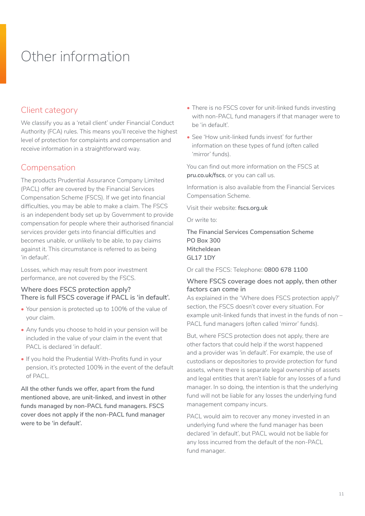# Other information

# Client category

We classify you as a 'retail client' under Financial Conduct Authority (FCA) rules. This means you'll receive the highest level of protection for complaints and compensation and receive information in a straightforward way.

# Compensation

The products Prudential Assurance Company Limited (PACL) offer are covered by the Financial Services Compensation Scheme (FSCS). If we get into financial difficulties, you may be able to make a claim. The FSCS is an independent body set up by Government to provide compensation for people where their authorised financial services provider gets into financial difficulties and becomes unable, or unlikely to be able, to pay claims against it. This circumstance is referred to as being 'in default'.

Losses, which may result from poor investment performance, are not covered by the FSCS.

#### **Where does FSCS protection apply? There is full FSCS coverage if PACL is 'in default'.**

- Your pension is protected up to 100% of the value of your claim.
- Any funds you choose to hold in your pension will be included in the value of your claim in the event that PACL is declared 'in default'.
- If you hold the Prudential With-Profits fund in your pension, it's protected 100% in the event of the default of PACL.

**All the other funds we offer, apart from the fund mentioned above, are unit-linked, and invest in other funds managed by non-PACL fund managers. FSCS cover does not apply if the non-PACL fund manager were to be 'in default'.**

- There is no FSCS cover for unit-linked funds investing with non-PACL fund managers if that manager were to be 'in default'.
- See 'How unit-linked funds invest' for further information on these types of fund (often called 'mirror' funds).

You can find out more information on the FSCS at **[pru.co.uk/fscs](https://www.pru.co.uk/fscs)**, or you can call us.

Information is also available from the Financial Services Compensation Scheme.

Visit their website: **fscs.org.uk**

Or write to:

**The Financial Services Compensation Scheme PO Box 300 Mitcheldean GL17 1DY**

Or call the FSCS: Telephone: **0800 678 1100**

#### **Where FSCS coverage does not apply, then other factors can come in**

As explained in the 'Where does FSCS protection apply?' section, the FSCS doesn't cover every situation. For example unit-linked funds that invest in the funds of non – PACL fund managers (often called 'mirror' funds).

But, where FSCS protection does not apply, there are other factors that could help if the worst happened and a provider was 'in default'. For example, the use of custodians or depositories to provide protection for fund assets, where there is separate legal ownership of assets and legal entities that aren't liable for any losses of a fund manager. In so doing, the intention is that the underlying fund will not be liable for any losses the underlying fund management company incurs.

PACL would aim to recover any money invested in an underlying fund where the fund manager has been declared 'in default', but PACL would not be liable for any loss incurred from the default of the non-PACL fund manager.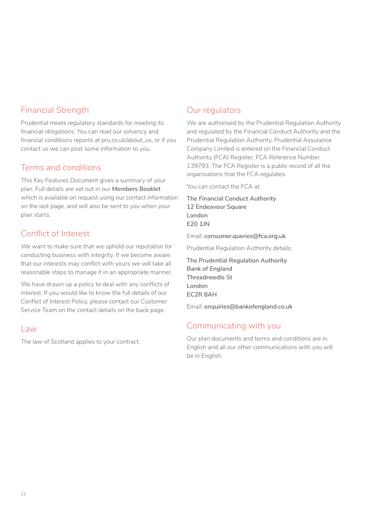# Financial Strength

Prudential meets regulatory standards for meeting its financial obligations. You can read our solvency and financial conditions reports at [pru.co.uk/about\\_us,](http://www.pru.co.uk/about_us) or if you contact us we can post some information to you.

# Terms and conditions

This Key Features Document gives a summary of your plan. Full details are set out in our **Members Booklet** which is available on request using our contact information on the last page, and will also be sent to you when your plan starts.

# Conflict of Interest

We want to make sure that we uphold our reputation for conducting business with integrity. If we become aware that our interests may conflict with yours we will take all reasonable steps to manage it in an appropriate manner.

We have drawn up a policy to deal with any conflicts of interest. If you would like to know the full details of our Conflict of Interest Policy, please contact our Customer Service Team on the contact details on the back page.

### Law

The law of Scotland applies to your contract.

# Our regulators

We are authorised by the Prudential Regulation Authority and regulated by the Financial Conduct Authority and the Prudential Regulation Authority. Prudential Assurance Company Limited is entered on the Financial Conduct Authority (FCA) Register, FCA Reference Number 139793. The FCA Register is a public record of all the organisations that the FCA regulates.

You can contact the FCA at:

**The Financial Conduct Authority 12 Endeavour Square London E20 1JN**

Email: **[consumer.queries@fca.org.uk](mailto:consumer.queries%40fca.org.uk%20?subject=)**

Prudential Regulation Authority details:

**The Prudential Regulation Authority Bank of England Threadneedle St London EC2R 8AH** 

Email: **[enquiries@bankofengland.co.uk](mailto:enquiries%40bankofengland.co.uk?subject=)**

# Communicating with you

Our plan documents and terms and conditions are in English and all our other communications with you will be in English.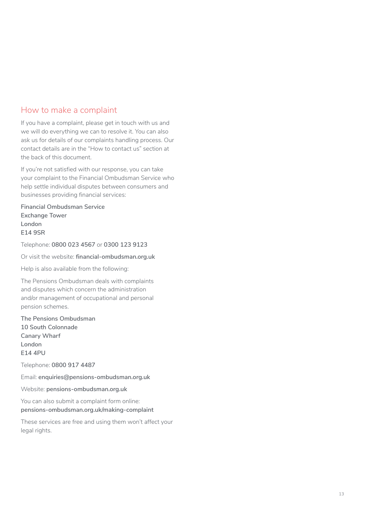# How to make a complaint

If you have a complaint, please get in touch with us and we will do everything we can to resolve it. You can also ask us for details of our complaints handling process. Our contact details are in the "How to contact us" section at the back of this document.

If you're not satisfied with our response, you can take your complaint to the Financial Ombudsman Service who help settle individual disputes between consumers and businesses providing financial services:

**Financial Ombudsman Service Exchange Tower London E14 9SR**

Telephone: **0800 023 4567** or **0300 123 9123**

Or visit the website: **[financial-ombudsman.org.uk](http://www.financial-ombudsman.org.uk)**

Help is also available from the following:

The Pensions Ombudsman deals with complaints and disputes which concern the administration and/or management of occupational and personal pension schemes.

**The Pensions Ombudsman 10 South Colonnade Canary Wharf London E14 4PU**

Telephone: **0800 917 4487**

Email: **[enquiries@pensions-ombudsman.org.uk](mailto:enquiries%40pensions-ombudsman.org.uk?subject=)**

Website: **[pensions-ombudsman.org.uk](http://www.pensions-ombudsman.org.uk)**

You can also submit a complaint form online: **[pensions-ombudsman.org.uk/making-complaint](https://www.pensions-ombudsman.org.uk/making-complaint)**

These services are free and using them won't affect your legal rights.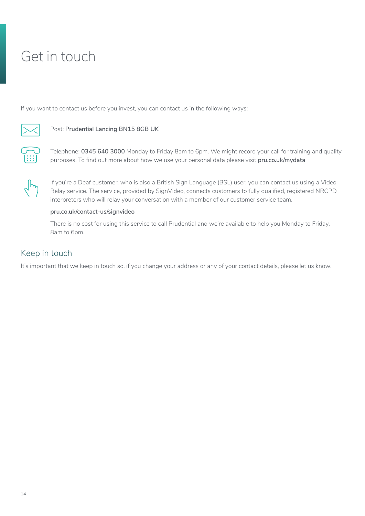# Get in touch

If you want to contact us before you invest, you can contact us in the following ways:



#### Post: **Prudential Lancing BN15 8GB UK**



Telephone: **0345 640 3000** Monday to Friday 8am to 6pm. We might record your call for training and quality purposes. To find out more about how we use your personal data please visit **[pru.co.uk/mydata](https://www.pru.co.uk/mydata)**



If you're a Deaf customer, who is also a British Sign Language (BSL) user, you can contact us using a Video Relay service. The service, provided by SignVideo, connects customers to fully qualified, registered NRCPD interpreters who will relay your conversation with a member of our customer service team.

#### **[pru.co.uk/contact-us/signvideo](https://www.pru.co.uk/contact-us/signvideo)**

There is no cost for using this service to call Prudential and we're available to help you Monday to Friday, 8am to 6pm.

### Keep in touch

It's important that we keep in touch so, if you change your address or any of your contact details, please let us know.